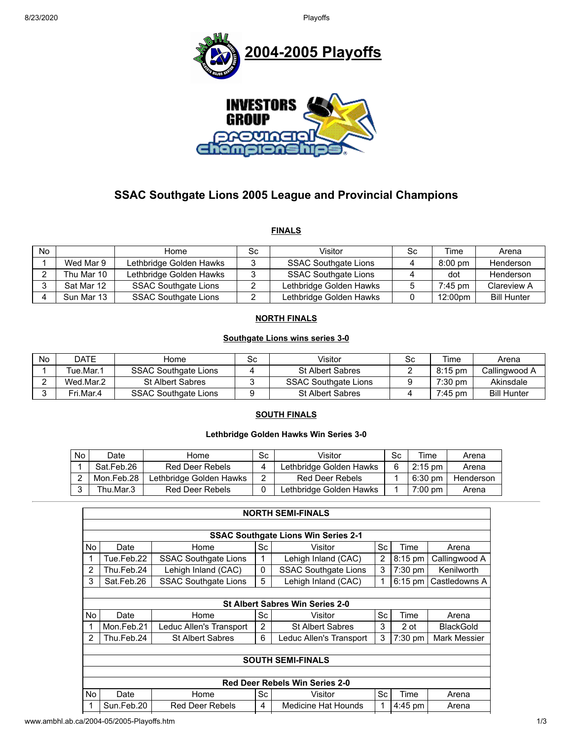

# **SSAC Southgate Lions 2005 League and Provincial Champions**

**FINALS**

| No. |            | Home                        | Sc | Visitor                     | Sc. | Time      | Arena              |
|-----|------------|-----------------------------|----|-----------------------------|-----|-----------|--------------------|
|     | Wed Mar 9  | Lethbridge Golden Hawks     |    | <b>SSAC Southgate Lions</b> |     | $8:00$ pm | Henderson          |
|     | Thu Mar 10 | Lethbridge Golden Hawks     |    | <b>SSAC Southgate Lions</b> |     | dot       | Henderson          |
|     | Sat Mar 12 | <b>SSAC Southgate Lions</b> |    | Lethbridge Golden Hawks     |     | $7:45$ pm | Clareview A        |
|     | Sun Mar 13 | <b>SSAC Southgate Lions</b> |    | Lethbridge Golden Hawks     |     | 12:00pm   | <b>Bill Hunter</b> |

### **NORTH FINALS**

#### **Southgate Lions wins series 3-0**

| No | DATE      | Home                        | Sc | Visitor                     | Sc | Time      | Arena              |
|----|-----------|-----------------------------|----|-----------------------------|----|-----------|--------------------|
|    | Tue.Mar.1 | <b>SSAC Southgate Lions</b> |    | <b>St Albert Sabres</b>     |    | 8:15 pm   | Callingwood A      |
|    | Wed.Mar.2 | <b>St Albert Sabres</b>     |    | <b>SSAC Southgate Lions</b> |    | $7:30$ pm | Akinsdale          |
|    | Fri.Mar.4 | <b>SSAC Southgate Lions</b> |    | <b>St Albert Sabres</b>     |    | $7:45$ pm | <b>Bill Hunter</b> |

#### **SOUTH FINALS**

#### **Lethbridge Golden Hawks Win Series 3-0**

| No. | Date       | Home                    | Sc | Visitor                 | Sc | Time              | Arena     |
|-----|------------|-------------------------|----|-------------------------|----|-------------------|-----------|
|     | Sat.Feb.26 | Red Deer Rebels         |    | Lethbridge Golden Hawks |    | $2:15 \text{ pm}$ | Arena     |
|     | Mon.Feb.28 | Lethbridge Golden Hawks | ົ  | Red Deer Rebels         |    | $6:30 \text{ pm}$ | Henderson |
|     | Thu.Mar.3  | Red Deer Rebels         |    | Lethbridge Golden Hawks |    | $7:00 \text{ pm}$ | Arena     |

|                          | <b>SSAC Southgate Lions Win Series 2-1</b> |                             |    |                             |      |           |                  |  |  |  |  |
|--------------------------|--------------------------------------------|-----------------------------|----|-----------------------------|------|-----------|------------------|--|--|--|--|
| <b>No</b>                | Date                                       | Sc<br>Sc<br>Home<br>Visitor |    |                             | Time | Arena     |                  |  |  |  |  |
| 1                        | Tue.Feb.22                                 | <b>SSAC Southgate Lions</b> | 1  | Lehigh Inland (CAC)         | 2    | $8:15$ pm | Callingwood A    |  |  |  |  |
| $\overline{2}$           | Thu.Feb.24                                 | Lehigh Inland (CAC)         | 0  | <b>SSAC Southgate Lions</b> | 3    | 7:30 pm   | Kenilworth       |  |  |  |  |
| 3                        | Sat.Feb.26                                 | <b>SSAC Southgate Lions</b> | 5  | Lehigh Inland (CAC)         |      | $6:15$ pm | Castledowns A    |  |  |  |  |
|                          |                                            |                             |    |                             |      |           |                  |  |  |  |  |
|                          | <b>St Albert Sabres Win Series 2-0</b>     |                             |    |                             |      |           |                  |  |  |  |  |
| No                       | Date                                       | Home                        | Sc | Visitor                     | Sc   | Time      | Arena            |  |  |  |  |
| 1                        | Mon.Feb.21                                 | Leduc Allen's Transport     | 2  | <b>St Albert Sabres</b>     | 3    | 2 ot      | <b>BlackGold</b> |  |  |  |  |
| $\mathcal{P}$            | Thu.Feb.24                                 | <b>St Albert Sabres</b>     | 6  | Leduc Allen's Transport     | 3    | $7:30$ pm | Mark Messier     |  |  |  |  |
|                          |                                            |                             |    |                             |      |           |                  |  |  |  |  |
| <b>SOUTH SEMI-FINALS</b> |                                            |                             |    |                             |      |           |                  |  |  |  |  |
|                          |                                            |                             |    |                             |      |           |                  |  |  |  |  |
|                          | <b>Red Deer Rebels Win Series 2-0</b>      |                             |    |                             |      |           |                  |  |  |  |  |
| No                       | Date                                       | Home                        | Sc | Visitor                     | Sc   | Time      | Arena            |  |  |  |  |
| 1                        | Sun.Feb.20                                 | <b>Red Deer Rebels</b>      | 4  | <b>Medicine Hat Hounds</b>  |      | $4:45$ pm | Arena            |  |  |  |  |
|                          |                                            |                             |    |                             |      |           |                  |  |  |  |  |

www.ambhl.ab.ca/2004-05/2005-Playoffs.htm 1/3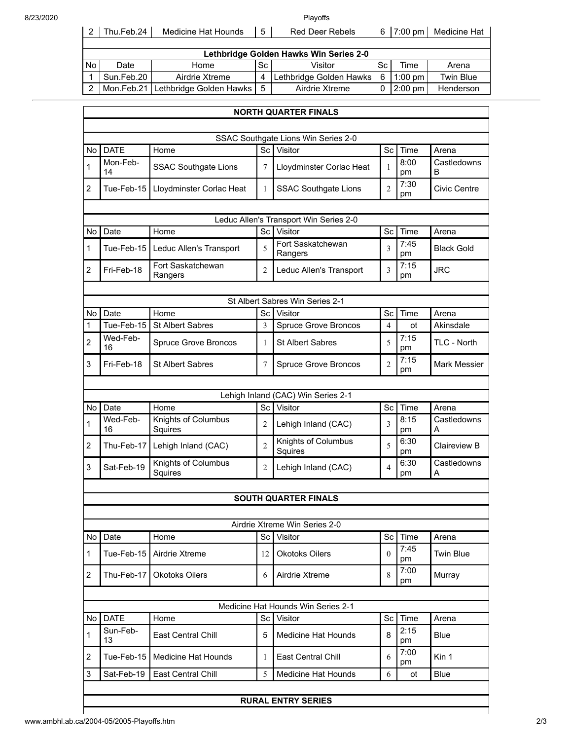| 8/23/2020 |  |
|-----------|--|
|           |  |

| 8/23/2020 |           |                                        |                                          |           | Plavoffs                |    |           |                  |  |  |  |  |
|-----------|-----------|----------------------------------------|------------------------------------------|-----------|-------------------------|----|-----------|------------------|--|--|--|--|
|           | 2         | Thu.Feb.24                             | Medicine Hat Hounds                      | 5         | <b>Red Deer Rebels</b>  | 6  | $7:00$ pm | Medicine Hat     |  |  |  |  |
|           |           |                                        |                                          |           |                         |    |           |                  |  |  |  |  |
|           |           | Lethbridge Golden Hawks Win Series 2-0 |                                          |           |                         |    |           |                  |  |  |  |  |
|           | <b>No</b> | Date                                   | Home                                     | <b>Sc</b> | Visitor                 | Sc | Time      | Arena            |  |  |  |  |
|           |           | Sun.Feb.20                             | Airdrie Xtreme                           | 4         | Lethbridge Golden Hawks | 6  | $1:00$ pm | <b>Twin Blue</b> |  |  |  |  |
|           | 2         |                                        | Mon.Feb.21   Lethbridge Golden Hawks   5 |           | Airdrie Xtreme          | 0  | $2:00$ pm | Henderson        |  |  |  |  |

|                | <b>NORTH QUARTER FINALS</b>     |                                |                |                                        |                |            |                     |  |  |  |
|----------------|---------------------------------|--------------------------------|----------------|----------------------------------------|----------------|------------|---------------------|--|--|--|
|                |                                 |                                |                |                                        |                |            |                     |  |  |  |
|                |                                 |                                |                | SSAC Southgate Lions Win Series 2-0    |                |            |                     |  |  |  |
| No l           | <b>DATE</b>                     | Home                           | Sc             | Visitor                                | Sc             | Time       | Arena               |  |  |  |
| $\mathbf{1}$   | Mon-Feb-<br>14                  | <b>SSAC Southgate Lions</b>    | 7              | Lloydminster Corlac Heat               | 1              | 8:00<br>pm | Castledowns<br>B    |  |  |  |
| $\overline{2}$ | Tue-Feb-15                      | Lloydminster Corlac Heat       | 1              | <b>SSAC Southgate Lions</b>            | $\overline{2}$ | 7:30<br>pm | <b>Civic Centre</b> |  |  |  |
|                |                                 |                                |                |                                        |                |            |                     |  |  |  |
|                |                                 |                                |                | Leduc Allen's Transport Win Series 2-0 |                |            |                     |  |  |  |
| No.            | Date                            | Home                           | Sc             | Visitor                                | Sc             | Time       | Arena               |  |  |  |
| $\mathbf{1}$   | Tue-Feb-15                      | Leduc Allen's Transport        | 5              | Fort Saskatchewan<br>Rangers           | 3              | 7:45<br>pm | <b>Black Gold</b>   |  |  |  |
| $\overline{2}$ | Fri-Feb-18                      | Fort Saskatchewan<br>Rangers   | 2              | Leduc Allen's Transport                | 3              | 7:15<br>рm | <b>JRC</b>          |  |  |  |
|                |                                 |                                |                |                                        |                |            |                     |  |  |  |
|                | St Albert Sabres Win Series 2-1 |                                |                |                                        |                |            |                     |  |  |  |
| No l           | Date                            | Home                           | Sc             | Visitor                                | Sc             | Time       | Arena               |  |  |  |
| 1              | Tue-Feb-15                      | <b>St Albert Sabres</b>        | 3              | <b>Spruce Grove Broncos</b>            | $\overline{4}$ | ot         | Akinsdale           |  |  |  |
| $\overline{2}$ | Wed-Feb-<br>16                  | <b>Spruce Grove Broncos</b>    | 1              | <b>St Albert Sabres</b>                | 5              | 7:15<br>pm | <b>TLC - North</b>  |  |  |  |
| 3              | Fri-Feb-18                      | <b>St Albert Sabres</b>        | 7              | <b>Spruce Grove Broncos</b>            | $\overline{2}$ | 7:15<br>pm | <b>Mark Messier</b> |  |  |  |
|                |                                 |                                |                |                                        |                |            |                     |  |  |  |
|                |                                 |                                |                | Lehigh Inland (CAC) Win Series 2-1     |                |            |                     |  |  |  |
| No             | Date                            | Home                           | Sc             | Visitor                                | Sc             | Time       | Arena               |  |  |  |
| $\mathbf{1}$   | Wed-Feb-<br>16                  | Knights of Columbus<br>Squires | 2              | Lehigh Inland (CAC)                    | 3              | 8:15<br>pm | Castledowns<br>A    |  |  |  |
| $\overline{2}$ | Thu-Feb-17                      | Lehigh Inland (CAC)            | $\overline{2}$ | Knights of Columbus<br>Squires         | 5              | 6:30<br>pm | Claireview B        |  |  |  |
| 3              | Sat-Feb-19                      | Knights of Columbus<br>Squires | 2              | Lehigh Inland (CAC)                    | $\overline{4}$ | 6:30<br>pm | Castledowns<br>A    |  |  |  |
|                |                                 |                                |                |                                        |                |            |                     |  |  |  |
|                |                                 |                                |                | <b>SOUTH QUARTER FINALS</b>            |                |            |                     |  |  |  |
|                |                                 |                                |                |                                        |                |            |                     |  |  |  |
|                |                                 |                                |                | Airdrie Xtreme Win Series 2-0          |                |            |                     |  |  |  |
| No             | Date                            | Home                           | Sc             | Visitor                                | Sc             | Time       | Arena               |  |  |  |
| $\mathbf{1}$   | Tue-Feb-15                      | Airdrie Xtreme                 | 12             | <b>Okotoks Oilers</b>                  | $\Omega$       | 7:45<br>pm | <b>Twin Blue</b>    |  |  |  |
| $\overline{2}$ | Thu-Feb-17                      | <b>Okotoks Oilers</b>          | 6              | Airdrie Xtreme                         | 8              | 7:00<br>pm | Murray              |  |  |  |
|                |                                 |                                |                |                                        |                |            |                     |  |  |  |
|                |                                 |                                |                | Medicine Hat Hounds Win Series 2-1     |                |            |                     |  |  |  |
| No l           | <b>DATE</b>                     | Home                           | <b>Sc</b>      | Visitor                                | Sc             | Time       | Arena               |  |  |  |
| $\mathbf{1}$   | Sun-Feb-<br>13                  | East Central Chill             | 5              | <b>Medicine Hat Hounds</b>             | 8              | 2:15<br>pm | <b>Blue</b>         |  |  |  |
| 2              | Tue-Feb-15                      | <b>Medicine Hat Hounds</b>     | 1              | <b>East Central Chill</b>              | 6              | 7:00<br>pm | Kin 1               |  |  |  |
| 3              | Sat-Feb-19                      | East Central Chill             | 5              | Medicine Hat Hounds                    | 6              | ot         | Blue                |  |  |  |
|                |                                 |                                |                |                                        |                |            |                     |  |  |  |

## **RURAL ENTRY SERIES**